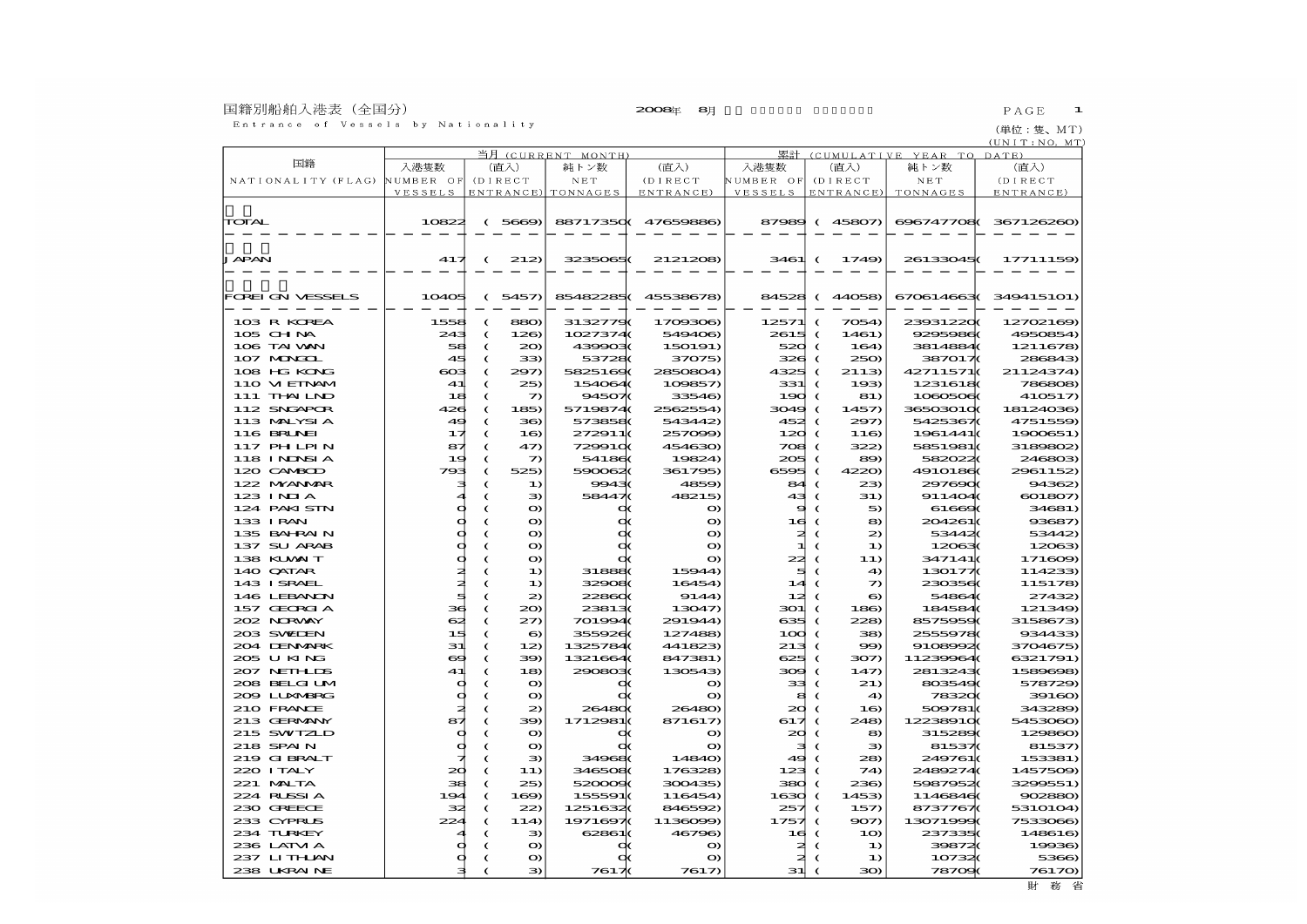## 国籍別船舶入港表(全国分)<br>- Entrance of Vessels by Nationality

(単位:隻、MT)

|                                      |                | 当月         | (CURRENT MONTH) |                    | 累計 (CUMULATIVE YEAR TO DATE) |             |            |                 |                      |                       |
|--------------------------------------|----------------|------------|-----------------|--------------------|------------------------------|-------------|------------|-----------------|----------------------|-----------------------|
| 国籍                                   | 入港隻数           |            | (直入)            | 純トン数               | (直入)                         | 入港隻数        |            | (直入)            | 純トン数                 | (直入)                  |
| NATIONALITY (FLAG) NUMBER OF (DIRECT |                |            |                 | N E T              | (DIRECT                      | NUMBER OF   |            | (DIRECT         | N E T                | (DIRECT               |
|                                      | VESSELS        |            |                 | ENTRANCE) TONNAGES | ENTRANCE)                    | VESSELS     |            | ENTRANCE)       | TONNAGES             | ENTRANCE)             |
|                                      |                |            |                 |                    |                              |             |            |                 |                      |                       |
| TOTAL                                | 10822          |            | (5669)          |                    | 88717350( 47659886)          |             |            | 87989 (45807)   |                      | 696747708(367126260)  |
|                                      |                |            |                 |                    |                              |             |            |                 |                      |                       |
|                                      |                |            |                 |                    |                              |             |            |                 |                      |                       |
| JAPAN                                | 417            |            |                 | 3235065(           | 2121208                      | 3461        |            | 1749)           | 26133045(            | 17711159              |
|                                      |                | €          | 212             |                    |                              |             | $\epsilon$ |                 |                      |                       |
|                                      |                |            |                 |                    |                              |             |            |                 |                      |                       |
| FOREI ON VESSELS                     |                |            |                 | 854822850          | 45538678)                    |             |            |                 |                      | 670614663 (349415101) |
|                                      | 10405          |            | (5457)          |                    |                              |             |            | 84528 (44058)   |                      |                       |
| 103 R KOREA                          | 1558           | $\epsilon$ | 880             | 31327790           | 1709306)                     | 12571       | $\epsilon$ | 7054)           | 239312200            | 12702169              |
| 105 CHNA                             | 243            |            | 126             | 10273740           | 549406)                      | 2615        |            | 1461)           | 9295986              | 4950854)              |
| 106 TAI VAN                          | 58             | C          | 20              | 4399030            | 150191)                      | 520         | €<br>€     | 164             | 3814884(             |                       |
| 107 MAGOL                            |                | C          |                 |                    |                              |             |            |                 |                      | 1211678)              |
| 108 HG KONG                          | 45<br>$\infty$ | €<br>€     | 33)<br>297)     | 537280<br>58251600 | 37075)<br>2850804            | 326<br>4325 | €<br>€     | 250<br>2113)    | 3870170<br>42711571( | 286843<br>21124374)   |
|                                      |                |            |                 |                    |                              |             |            |                 |                      |                       |
| 110 VIEINAM                          | 41             | C          | 25)             | 154064(            | 109857)                      | 331         | €<br>C     | 193             | 1231618              | 786808                |
| 111 THAILND                          | 18             | C          | つ               | 94507              | 33546)                       | 190         |            | 81)             | 1080506              | 410517)               |
| 112 SNGAPOR                          | 426            | $\epsilon$ | 185             | 5719874(           | 2562554)                     | 3049        | $\epsilon$ | 1457)           | 365030100            | 18124036)             |
| 113 MALYSIA                          | 49             | C          | 36              | 5738580            | 543442)                      | 452         | $\epsilon$ | 297             | 5425367(             | 4751559)              |
| 116 BRUNEI                           | ュオ             | C          | 1 <sup>6</sup>  | 272911(            | 257099)                      | 120         | $\epsilon$ | 116             | 1961441              | 1900651)              |
| 117 PH LPIN                          | 87             | C          | 47)             | 7299100            | 454630)                      | 708         | €          | 322             | 5851981(             | 3189802               |
| 118 INDSIA                           | 19             | C          | っ               | 541860             | 19824)                       | 205         | €          | 89              | 5820220              | 246803                |
| 120 CAMBOD                           | 793            | C          | 525)            | 5900620            | 361795)                      | 6595        | €          | 4220)           | 4910186(             | 2961152               |
| 122 MYANAR                           | э              | €          | 1)              | 99430              | 4859)                        | 84          | €          | 23              | 2976900              | 94362)                |
| 123 INJA                             |                | C          | Э               | 584470             | 48215)                       | 43          | €          | 31)             | 911404(              | 601807                |
| 124 PAKI SIN                         | O              | €          | O               |                    | $\mathbf o$                  | 9           | €          | 5               | 61660                | 34681)                |
| 133 IRAN                             | O              | C          | O)              |                    | $\mathbf o$                  | 16          | - 6        | 8               | 204261(              | 93687)                |
| 135 BAHRAIN                          | Ф              | C          | o               |                    | $\mathbf o$                  | ≉           | $\epsilon$ | 2               | 534420               | 53442)                |
| 137 SU ARAB                          | Ф              | C          | $\bullet$       |                    | $\bullet$                    | ᆀ           | €          | $\bf{D}$        | 120630               | 12063                 |
| 138 KUWAIT                           | Ф              | C          | O               |                    | $\mathbf o$                  | 22          | $\epsilon$ | 11)             | 347141(              | 171609                |
| 140 QATAR                            | ≉              | C          | $\bf{1}$        | 318880             | 15944)                       | 5           | $\epsilon$ | 4               | 1301770              | 114233                |
| 143 ISRAEL                           | ≵              | C          | $\bf{1}$        | 329080             | 16454                        | 14          |            | っ               | 2303560              | 115178                |
| 146 LEBANON                          | ₫              | C          | $\mathbf{z}$    | 228600             | 9144                         | 12≵         | €          | $\bullet$       | 54864(               | 27432)                |
| 157 GEORGIA                          | за             | C          | $20 \theta$     | 238130             | 13047)                       | 301         | $\epsilon$ | 186             | 1845840              | 121349)               |
| 202 NRWY                             | 62             | C          | 27)             | 701994(            | 291944)                      | 635         | €          | 228             | 85759590             | 3158673               |
| 203 SWIJEN                           | 15             | C          | 6               | 3559260            | 127488                       | 100         | €          | 38)             | 25559780             | 934433                |
| 204 DENMRK                           | 31             | C          | 12              | 1325784(           | 441823)                      | 213         | €          | 99              | 9108992              | 3704675)              |
| 205 U KING                           | $\bullet$      | C          | 39)             | 1321664            | 847381)                      | 625         | $\epsilon$ | 307)            | 11239964             | 6321791)              |
| 207 NEIHLDS                          | 41             | C          | 18)             | 2908030            | 130543                       | 309         | $\epsilon$ | 147             | 28132430             | 1589608)              |
| 208 BELGI UM                         | d              | C          | o               |                    | $\mathbf o$                  | 33          | €          | 21)             | 8035490              | 578729)               |
| 209 LUXMERG                          | Ф<br>≵         | C          | o               |                    | $\bullet$                    | s           | €          | $\triangleleft$ | 783200               | 39160                 |
| 210 FRANCE                           |                | C          | $\mathbf{z}$    | 264800             | 26480                        | $\infty$    | $\epsilon$ | 1 <sub>0</sub>  | 509781(              | 343289)               |
| 213 GERMANY                          | 87             | C          | 39              | 1712981(           | 871617                       | 617         | €          | 248             | 122389100            | 5453060               |
| 215 SWIZLD                           | Ф              | C          | $\bullet$       | O                  | o                            | 20          | €          | 8               | 3152890              | 129860                |
| 218 SPAIN                            | Ф<br>⊣         | C          | o               |                    | $\bullet$                    | з           | €          | Э               | 81537(               | 81537)                |
| 219 G BRALT                          |                | C          | 3               | 349680             | 14840)                       | 49          |            | 28              | 249761(              | 153381)               |
| 220 I TALY                           | 20             | €          | 11)             | 3465080            | 176328)                      | 123         |            | 74              | 24892740             | 1457509)              |
| 221 MALTA                            | 38             | C          | 25)             | 5200090            | 300435)                      | 380         |            | 236)            | 59879520             | 3299551)              |
| 224 RUSSIA                           | 194            | C          | 169             | 155591(            | 116454                       | 1630        | K          | 1453            | 11468460             | 902880)               |
| 230 GREECE                           | 32             | C          | 22              | 12516320           | 846592                       | 257         | €          | 157             | 8737767(             | 5310104)              |
| 233 CYPRUS                           | 224            | €          | 114             | 1971697(           | 1136099                      | 1757        | $\epsilon$ | 907)            | 13071999             | 7533066)              |
| 234 TURKEY                           |                | C          | э               | 62861(             | 46796)                       | 16          | $\epsilon$ | 10              | 237335(              | 148616)               |
| 236 LAIM A                           |                | C          | $\bullet$       |                    | $\mathbf o$                  | a           | €          | $\bf{D}$        | 398720               | 19936)                |
| 237 LITHLAN                          |                | C          | o               |                    | $\mathbf o$                  | 2.          |            | $\bf{1}$        | 107320               | 5366)                 |
| 238 UKRAINE                          | я              | €          | 3               | 76170              | 7617                         | 31          |            | 30)             | 787090               | 76170)                |

 $(UNIT:NO, MT)$